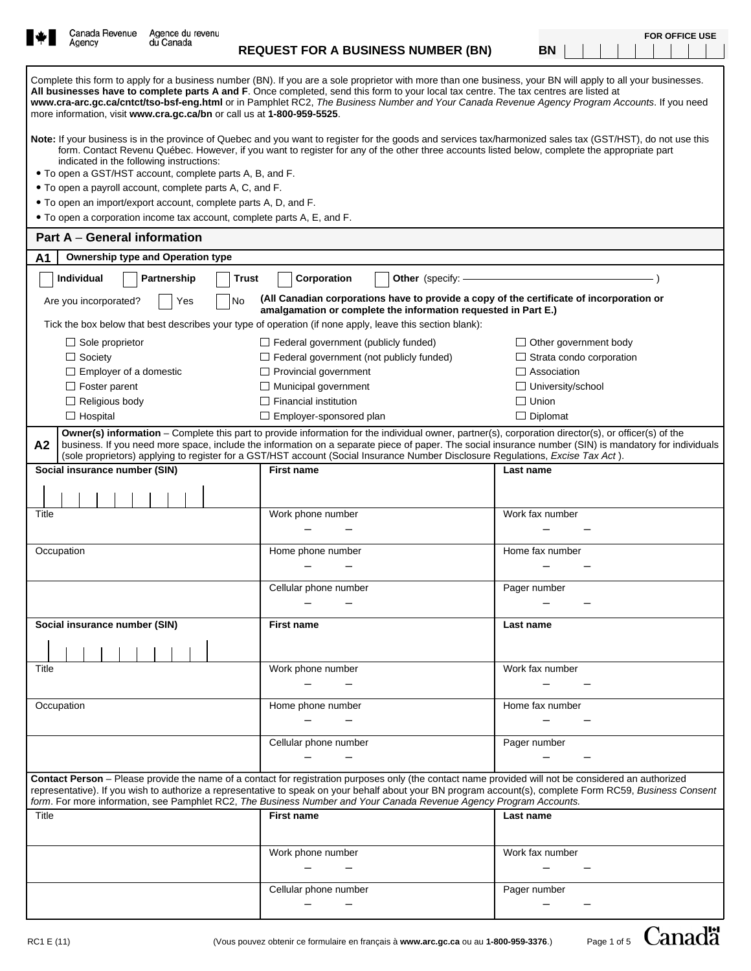|            | Canada Revenue                                                                                                                                                                                                                                                                                                                                                                                                       | Agence du revenu |       |                                                 |                                                                                                                                                                                                                                                                                                                                                                                                                                                          |                                 |                                 |  |  | <b>FOR OFFICE USE</b> |
|------------|----------------------------------------------------------------------------------------------------------------------------------------------------------------------------------------------------------------------------------------------------------------------------------------------------------------------------------------------------------------------------------------------------------------------|------------------|-------|-------------------------------------------------|----------------------------------------------------------------------------------------------------------------------------------------------------------------------------------------------------------------------------------------------------------------------------------------------------------------------------------------------------------------------------------------------------------------------------------------------------------|---------------------------------|---------------------------------|--|--|-----------------------|
|            | Agency                                                                                                                                                                                                                                                                                                                                                                                                               | du Canada        |       |                                                 | <b>REQUEST FOR A BUSINESS NUMBER (BN)</b>                                                                                                                                                                                                                                                                                                                                                                                                                | BN                              |                                 |  |  |                       |
|            | more information, visit www.cra.gc.ca/bn or call us at 1-800-959-5525.                                                                                                                                                                                                                                                                                                                                               |                  |       |                                                 | Complete this form to apply for a business number (BN). If you are a sole proprietor with more than one business, your BN will apply to all your businesses.<br>All businesses have to complete parts A and F. Once completed, send this form to your local tax centre. The tax centres are listed at<br>www.cra-arc.gc.ca/cntct/tso-bsf-eng.html or in Pamphlet RC2, The Business Number and Your Canada Revenue Agency Program Accounts. If you need   |                                 |                                 |  |  |                       |
|            | Note: If your business is in the province of Quebec and you want to register for the goods and services tax/harmonized sales tax (GST/HST), do not use this<br>form. Contact Revenu Québec. However, if you want to register for any of the other three accounts listed below, complete the appropriate part<br>indicated in the following instructions:<br>• To open a GST/HST account, complete parts A, B, and F. |                  |       |                                                 |                                                                                                                                                                                                                                                                                                                                                                                                                                                          |                                 |                                 |  |  |                       |
|            | • To open a payroll account, complete parts A, C, and F.                                                                                                                                                                                                                                                                                                                                                             |                  |       |                                                 |                                                                                                                                                                                                                                                                                                                                                                                                                                                          |                                 |                                 |  |  |                       |
|            |                                                                                                                                                                                                                                                                                                                                                                                                                      |                  |       |                                                 |                                                                                                                                                                                                                                                                                                                                                                                                                                                          |                                 |                                 |  |  |                       |
|            | • To open an import/export account, complete parts A, D, and F.<br>• To open a corporation income tax account, complete parts A, E, and F.                                                                                                                                                                                                                                                                           |                  |       |                                                 |                                                                                                                                                                                                                                                                                                                                                                                                                                                          |                                 |                                 |  |  |                       |
|            | Part A - General information                                                                                                                                                                                                                                                                                                                                                                                         |                  |       |                                                 |                                                                                                                                                                                                                                                                                                                                                                                                                                                          |                                 |                                 |  |  |                       |
| A1         | Ownership type and Operation type                                                                                                                                                                                                                                                                                                                                                                                    |                  |       |                                                 |                                                                                                                                                                                                                                                                                                                                                                                                                                                          |                                 |                                 |  |  |                       |
|            | Individual                                                                                                                                                                                                                                                                                                                                                                                                           | Partnership      | Trust | Corporation                                     | Other (specify: -                                                                                                                                                                                                                                                                                                                                                                                                                                        |                                 |                                 |  |  |                       |
|            | Are you incorporated?                                                                                                                                                                                                                                                                                                                                                                                                | Yes              | No    |                                                 | (All Canadian corporations have to provide a copy of the certificate of incorporation or<br>amalgamation or complete the information requested in Part E.)                                                                                                                                                                                                                                                                                               |                                 |                                 |  |  |                       |
|            |                                                                                                                                                                                                                                                                                                                                                                                                                      |                  |       |                                                 | Tick the box below that best describes your type of operation (if none apply, leave this section blank):                                                                                                                                                                                                                                                                                                                                                 |                                 |                                 |  |  |                       |
|            | $\Box$ Sole proprietor                                                                                                                                                                                                                                                                                                                                                                                               |                  |       | $\Box$ Federal government (publicly funded)     |                                                                                                                                                                                                                                                                                                                                                                                                                                                          |                                 | $\Box$ Other government body    |  |  |                       |
|            | $\Box$ Society                                                                                                                                                                                                                                                                                                                                                                                                       |                  |       | $\Box$ Federal government (not publicly funded) |                                                                                                                                                                                                                                                                                                                                                                                                                                                          |                                 | $\Box$ Strata condo corporation |  |  |                       |
|            | $\Box$ Employer of a domestic                                                                                                                                                                                                                                                                                                                                                                                        |                  |       | $\Box$ Provincial government                    |                                                                                                                                                                                                                                                                                                                                                                                                                                                          | $\Box$ Association              |                                 |  |  |                       |
|            | $\Box$ Foster parent                                                                                                                                                                                                                                                                                                                                                                                                 |                  |       | $\Box$ Municipal government                     |                                                                                                                                                                                                                                                                                                                                                                                                                                                          |                                 | $\Box$ University/school        |  |  |                       |
|            | $\Box$ Religious body                                                                                                                                                                                                                                                                                                                                                                                                |                  |       | $\Box$ Financial institution                    |                                                                                                                                                                                                                                                                                                                                                                                                                                                          | $\Box$ Union<br>$\Box$ Diplomat |                                 |  |  |                       |
|            | $\Box$ Hospital                                                                                                                                                                                                                                                                                                                                                                                                      |                  |       | $\Box$ Employer-sponsored plan                  |                                                                                                                                                                                                                                                                                                                                                                                                                                                          |                                 |                                 |  |  |                       |
| A2         |                                                                                                                                                                                                                                                                                                                                                                                                                      |                  |       |                                                 | <b>Owner(s) information</b> – Complete this part to provide information for the individual owner, partner(s), corporation director(s), or officer(s) of the<br>business. If you need more space, include the information on a separate piece of paper. The social insurance number (SIN) is mandatory for individuals<br>(sole proprietors) applying to register for a GST/HST account (Social Insurance Number Disclosure Regulations, Excise Tax Act). |                                 |                                 |  |  |                       |
|            | Social insurance number (SIN)                                                                                                                                                                                                                                                                                                                                                                                        |                  |       | <b>First name</b>                               |                                                                                                                                                                                                                                                                                                                                                                                                                                                          | Last name                       |                                 |  |  |                       |
|            |                                                                                                                                                                                                                                                                                                                                                                                                                      |                  |       |                                                 |                                                                                                                                                                                                                                                                                                                                                                                                                                                          |                                 |                                 |  |  |                       |
| Title      |                                                                                                                                                                                                                                                                                                                                                                                                                      |                  |       | Work phone number                               |                                                                                                                                                                                                                                                                                                                                                                                                                                                          | Work fax number                 |                                 |  |  |                       |
|            |                                                                                                                                                                                                                                                                                                                                                                                                                      |                  |       |                                                 |                                                                                                                                                                                                                                                                                                                                                                                                                                                          |                                 |                                 |  |  |                       |
| Occupation |                                                                                                                                                                                                                                                                                                                                                                                                                      |                  |       | Home phone number                               |                                                                                                                                                                                                                                                                                                                                                                                                                                                          | Home fax number                 |                                 |  |  |                       |
|            |                                                                                                                                                                                                                                                                                                                                                                                                                      |                  |       | Cellular phone number                           |                                                                                                                                                                                                                                                                                                                                                                                                                                                          | Pager number                    |                                 |  |  |                       |
|            |                                                                                                                                                                                                                                                                                                                                                                                                                      |                  |       |                                                 |                                                                                                                                                                                                                                                                                                                                                                                                                                                          |                                 |                                 |  |  |                       |
|            | Social insurance number (SIN)                                                                                                                                                                                                                                                                                                                                                                                        |                  |       | First name                                      |                                                                                                                                                                                                                                                                                                                                                                                                                                                          | Last name                       |                                 |  |  |                       |
|            |                                                                                                                                                                                                                                                                                                                                                                                                                      |                  |       |                                                 |                                                                                                                                                                                                                                                                                                                                                                                                                                                          |                                 |                                 |  |  |                       |
| Title      |                                                                                                                                                                                                                                                                                                                                                                                                                      |                  |       | Work phone number                               |                                                                                                                                                                                                                                                                                                                                                                                                                                                          | Work fax number                 |                                 |  |  |                       |
|            |                                                                                                                                                                                                                                                                                                                                                                                                                      |                  |       |                                                 |                                                                                                                                                                                                                                                                                                                                                                                                                                                          |                                 |                                 |  |  |                       |
| Occupation |                                                                                                                                                                                                                                                                                                                                                                                                                      |                  |       | Home phone number                               |                                                                                                                                                                                                                                                                                                                                                                                                                                                          | Home fax number                 |                                 |  |  |                       |
|            |                                                                                                                                                                                                                                                                                                                                                                                                                      |                  |       |                                                 |                                                                                                                                                                                                                                                                                                                                                                                                                                                          |                                 |                                 |  |  |                       |
|            |                                                                                                                                                                                                                                                                                                                                                                                                                      |                  |       | Cellular phone number                           |                                                                                                                                                                                                                                                                                                                                                                                                                                                          | Pager number                    |                                 |  |  |                       |
|            |                                                                                                                                                                                                                                                                                                                                                                                                                      |                  |       |                                                 |                                                                                                                                                                                                                                                                                                                                                                                                                                                          |                                 |                                 |  |  |                       |
|            |                                                                                                                                                                                                                                                                                                                                                                                                                      |                  |       |                                                 | Contact Person - Please provide the name of a contact for registration purposes only (the contact name provided will not be considered an authorized<br>representative). If you wish to authorize a representative to speak on your behalf about your BN program account(s), complete Form RC59, Business Consent<br>form. For more information, see Pamphlet RC2, The Business Number and Your Canada Revenue Agency Program Accounts.                  |                                 |                                 |  |  |                       |
| Title      |                                                                                                                                                                                                                                                                                                                                                                                                                      |                  |       | <b>First name</b>                               |                                                                                                                                                                                                                                                                                                                                                                                                                                                          | Last name                       |                                 |  |  |                       |
|            |                                                                                                                                                                                                                                                                                                                                                                                                                      |                  |       |                                                 |                                                                                                                                                                                                                                                                                                                                                                                                                                                          |                                 |                                 |  |  |                       |
|            |                                                                                                                                                                                                                                                                                                                                                                                                                      |                  |       | Work phone number                               |                                                                                                                                                                                                                                                                                                                                                                                                                                                          | Work fax number                 |                                 |  |  |                       |
|            |                                                                                                                                                                                                                                                                                                                                                                                                                      |                  |       |                                                 |                                                                                                                                                                                                                                                                                                                                                                                                                                                          |                                 |                                 |  |  |                       |
|            |                                                                                                                                                                                                                                                                                                                                                                                                                      |                  |       | Cellular phone number                           |                                                                                                                                                                                                                                                                                                                                                                                                                                                          | Pager number                    |                                 |  |  |                       |
|            |                                                                                                                                                                                                                                                                                                                                                                                                                      |                  |       |                                                 |                                                                                                                                                                                                                                                                                                                                                                                                                                                          |                                 |                                 |  |  |                       |
|            |                                                                                                                                                                                                                                                                                                                                                                                                                      |                  |       |                                                 |                                                                                                                                                                                                                                                                                                                                                                                                                                                          |                                 |                                 |  |  |                       |

Page 1 of 5 Canada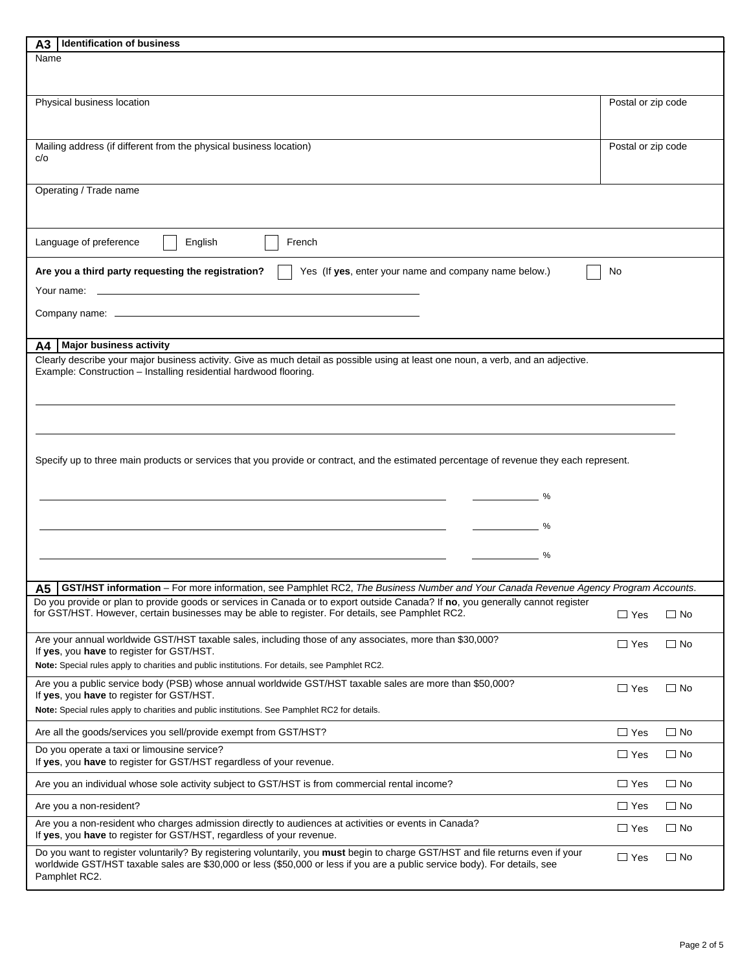| <b>Identification of business</b><br>А3                                                                                                                                                                                                                       |                            |
|---------------------------------------------------------------------------------------------------------------------------------------------------------------------------------------------------------------------------------------------------------------|----------------------------|
| Name                                                                                                                                                                                                                                                          |                            |
|                                                                                                                                                                                                                                                               |                            |
|                                                                                                                                                                                                                                                               |                            |
| Physical business location                                                                                                                                                                                                                                    | Postal or zip code         |
|                                                                                                                                                                                                                                                               |                            |
|                                                                                                                                                                                                                                                               |                            |
| Mailing address (if different from the physical business location)                                                                                                                                                                                            | Postal or zip code         |
| c/o                                                                                                                                                                                                                                                           |                            |
|                                                                                                                                                                                                                                                               |                            |
| Operating / Trade name                                                                                                                                                                                                                                        |                            |
|                                                                                                                                                                                                                                                               |                            |
|                                                                                                                                                                                                                                                               |                            |
|                                                                                                                                                                                                                                                               |                            |
| Language of preference<br>French<br>English                                                                                                                                                                                                                   |                            |
|                                                                                                                                                                                                                                                               |                            |
| Are you a third party requesting the registration?<br>Yes (If yes, enter your name and company name below.)                                                                                                                                                   | No                         |
|                                                                                                                                                                                                                                                               |                            |
|                                                                                                                                                                                                                                                               |                            |
|                                                                                                                                                                                                                                                               |                            |
|                                                                                                                                                                                                                                                               |                            |
| <b>Major business activity</b><br>A4 I                                                                                                                                                                                                                        |                            |
| Clearly describe your major business activity. Give as much detail as possible using at least one noun, a verb, and an adjective.                                                                                                                             |                            |
| Example: Construction - Installing residential hardwood flooring.                                                                                                                                                                                             |                            |
|                                                                                                                                                                                                                                                               |                            |
|                                                                                                                                                                                                                                                               |                            |
|                                                                                                                                                                                                                                                               |                            |
|                                                                                                                                                                                                                                                               |                            |
|                                                                                                                                                                                                                                                               |                            |
|                                                                                                                                                                                                                                                               |                            |
| Specify up to three main products or services that you provide or contract, and the estimated percentage of revenue they each represent.                                                                                                                      |                            |
|                                                                                                                                                                                                                                                               |                            |
| $\%$                                                                                                                                                                                                                                                          |                            |
|                                                                                                                                                                                                                                                               |                            |
|                                                                                                                                                                                                                                                               |                            |
|                                                                                                                                                                                                                                                               |                            |
|                                                                                                                                                                                                                                                               |                            |
| %                                                                                                                                                                                                                                                             |                            |
|                                                                                                                                                                                                                                                               |                            |
| A5   GST/HST information - For more information, see Pamphlet RC2, The Business Number and Your Canada Revenue Agency Program Accounts.                                                                                                                       |                            |
| Do you provide or plan to provide goods or services in Canada or to export outside Canada? If no, you generally cannot register                                                                                                                               |                            |
| for GST/HST. However, certain businesses may be able to register. For details, see Pamphlet RC2.                                                                                                                                                              | $\Box$ No<br>$\Box$ Yes    |
|                                                                                                                                                                                                                                                               |                            |
| Are your annual worldwide GST/HST taxable sales, including those of any associates, more than \$30,000?                                                                                                                                                       | $\Box$ Yes<br>$\Box$ No    |
| If yes, you have to register for GST/HST.                                                                                                                                                                                                                     |                            |
| Note: Special rules apply to charities and public institutions. For details, see Pamphlet RC2.                                                                                                                                                                |                            |
| Are you a public service body (PSB) whose annual worldwide GST/HST taxable sales are more than \$50,000?                                                                                                                                                      | $\Box$ Yes<br>$\Box$ No    |
| If yes, you have to register for GST/HST.                                                                                                                                                                                                                     |                            |
| Note: Special rules apply to charities and public institutions. See Pamphlet RC2 for details.                                                                                                                                                                 |                            |
|                                                                                                                                                                                                                                                               |                            |
| Are all the goods/services you sell/provide exempt from GST/HST?                                                                                                                                                                                              | $\Box$ No<br>$\Box$ Yes    |
| Do you operate a taxi or limousine service?                                                                                                                                                                                                                   | $\Box$ Yes<br>$\Box$ No    |
| If yes, you have to register for GST/HST regardless of your revenue.                                                                                                                                                                                          |                            |
|                                                                                                                                                                                                                                                               | $\Box$ No<br>$\Box$ Yes    |
| Are you an individual whose sole activity subject to GST/HST is from commercial rental income?                                                                                                                                                                |                            |
| Are you a non-resident?                                                                                                                                                                                                                                       | $\Box$ No<br>$\Box$ Yes    |
| Are you a non-resident who charges admission directly to audiences at activities or events in Canada?                                                                                                                                                         |                            |
| If yes, you have to register for GST/HST, regardless of your revenue.                                                                                                                                                                                         | $\Box$ No<br>$\square$ Yes |
|                                                                                                                                                                                                                                                               |                            |
| Do you want to register voluntarily? By registering voluntarily, you must begin to charge GST/HST and file returns even if your<br>worldwide GST/HST taxable sales are \$30,000 or less (\$50,000 or less if you are a public service body). For details, see | $\Box$ Yes<br>$\Box$ No    |
| Pamphlet RC2.                                                                                                                                                                                                                                                 |                            |
|                                                                                                                                                                                                                                                               |                            |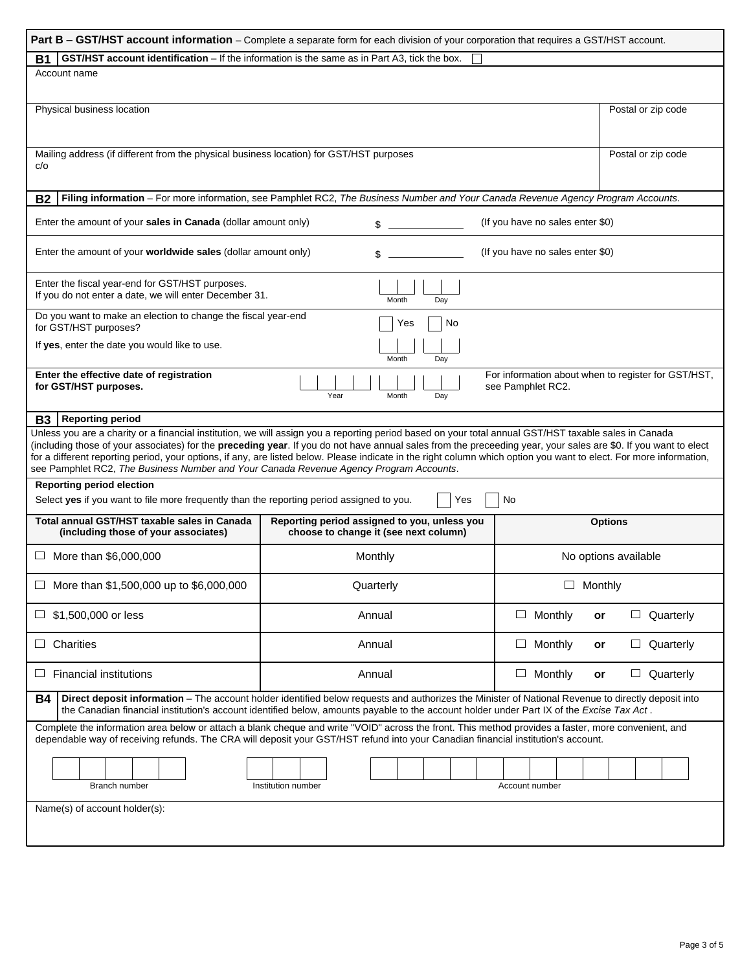| Part B - GST/HST account information - Complete a separate form for each division of your corporation that requires a GST/HST account.                                                                                                                                                                                                                                                                                                                                                                                                                                                    |                                                                                       |                                                |  |  |  |  |
|-------------------------------------------------------------------------------------------------------------------------------------------------------------------------------------------------------------------------------------------------------------------------------------------------------------------------------------------------------------------------------------------------------------------------------------------------------------------------------------------------------------------------------------------------------------------------------------------|---------------------------------------------------------------------------------------|------------------------------------------------|--|--|--|--|
| <b>GST/HST account identification</b> – If the information is the same as in Part A3, tick the box.<br>Β1                                                                                                                                                                                                                                                                                                                                                                                                                                                                                 |                                                                                       |                                                |  |  |  |  |
| Account name                                                                                                                                                                                                                                                                                                                                                                                                                                                                                                                                                                              |                                                                                       |                                                |  |  |  |  |
| Physical business location                                                                                                                                                                                                                                                                                                                                                                                                                                                                                                                                                                | Postal or zip code                                                                    |                                                |  |  |  |  |
| Mailing address (if different from the physical business location) for GST/HST purposes<br>c/o                                                                                                                                                                                                                                                                                                                                                                                                                                                                                            | Postal or zip code                                                                    |                                                |  |  |  |  |
| Filing information - For more information, see Pamphlet RC2, The Business Number and Your Canada Revenue Agency Program Accounts.<br><b>B2</b>                                                                                                                                                                                                                                                                                                                                                                                                                                            |                                                                                       |                                                |  |  |  |  |
| Enter the amount of your sales in Canada (dollar amount only)                                                                                                                                                                                                                                                                                                                                                                                                                                                                                                                             | \$                                                                                    | (If you have no sales enter \$0)               |  |  |  |  |
| Enter the amount of your worldwide sales (dollar amount only)                                                                                                                                                                                                                                                                                                                                                                                                                                                                                                                             | \$                                                                                    | (If you have no sales enter \$0)               |  |  |  |  |
| Enter the fiscal year-end for GST/HST purposes.<br>If you do not enter a date, we will enter December 31.<br>Month<br>Day                                                                                                                                                                                                                                                                                                                                                                                                                                                                 |                                                                                       |                                                |  |  |  |  |
| Do you want to make an election to change the fiscal year-end<br>No<br>Yes<br>for GST/HST purposes?                                                                                                                                                                                                                                                                                                                                                                                                                                                                                       |                                                                                       |                                                |  |  |  |  |
| If yes, enter the date you would like to use.                                                                                                                                                                                                                                                                                                                                                                                                                                                                                                                                             | Month<br>Day                                                                          |                                                |  |  |  |  |
| For information about when to register for GST/HST,<br>Enter the effective date of registration<br>for GST/HST purposes.<br>see Pamphlet RC2.<br>Year<br>Month<br>Day                                                                                                                                                                                                                                                                                                                                                                                                                     |                                                                                       |                                                |  |  |  |  |
| <b>Reporting period</b><br>B3                                                                                                                                                                                                                                                                                                                                                                                                                                                                                                                                                             |                                                                                       |                                                |  |  |  |  |
| Unless you are a charity or a financial institution, we will assign you a reporting period based on your total annual GST/HST taxable sales in Canada<br>(including those of your associates) for the preceding year. If you do not have annual sales from the preceeding year, your sales are \$0. If you want to elect<br>for a different reporting period, your options, if any, are listed below. Please indicate in the right column which option you want to elect. For more information,<br>see Pamphlet RC2, The Business Number and Your Canada Revenue Agency Program Accounts. |                                                                                       |                                                |  |  |  |  |
| <b>Reporting period election</b><br>Select yes if you want to file more frequently than the reporting period assigned to you.                                                                                                                                                                                                                                                                                                                                                                                                                                                             | Yes                                                                                   | No                                             |  |  |  |  |
| Total annual GST/HST taxable sales in Canada<br>(including those of your associates)                                                                                                                                                                                                                                                                                                                                                                                                                                                                                                      | Reporting period assigned to you, unless you<br>choose to change it (see next column) | <b>Options</b>                                 |  |  |  |  |
| More than \$6,000,000<br>ப                                                                                                                                                                                                                                                                                                                                                                                                                                                                                                                                                                | Monthly                                                                               | No options available                           |  |  |  |  |
| More than \$1,500,000 up to \$6,000,000                                                                                                                                                                                                                                                                                                                                                                                                                                                                                                                                                   | Quarterly                                                                             | $\Box$ Monthly                                 |  |  |  |  |
| \$1,500,000 or less<br>ப                                                                                                                                                                                                                                                                                                                                                                                                                                                                                                                                                                  | Annual                                                                                | $\Box$ Monthly<br>$\Box$ Quarterly<br>or       |  |  |  |  |
| Charities<br>ப                                                                                                                                                                                                                                                                                                                                                                                                                                                                                                                                                                            | Annual                                                                                | $\Box$<br>Monthly<br>$\Box$ Quarterly<br>or    |  |  |  |  |
| <b>Financial institutions</b><br>ப                                                                                                                                                                                                                                                                                                                                                                                                                                                                                                                                                        | Annual                                                                                | $\Box$<br>Monthly<br>$\Box$<br>Quarterly<br>or |  |  |  |  |
| Direct deposit information - The account holder identified below requests and authorizes the Minister of National Revenue to directly deposit into<br><b>B4</b><br>the Canadian financial institution's account identified below, amounts payable to the account holder under Part IX of the Excise Tax Act.                                                                                                                                                                                                                                                                              |                                                                                       |                                                |  |  |  |  |
| Complete the information area below or attach a blank cheque and write "VOID" across the front. This method provides a faster, more convenient, and<br>dependable way of receiving refunds. The CRA will deposit your GST/HST refund into your Canadian financial institution's account.                                                                                                                                                                                                                                                                                                  |                                                                                       |                                                |  |  |  |  |
| Branch number                                                                                                                                                                                                                                                                                                                                                                                                                                                                                                                                                                             | Institution number                                                                    | Account number                                 |  |  |  |  |
| Name(s) of account holder(s):                                                                                                                                                                                                                                                                                                                                                                                                                                                                                                                                                             |                                                                                       |                                                |  |  |  |  |
|                                                                                                                                                                                                                                                                                                                                                                                                                                                                                                                                                                                           |                                                                                       |                                                |  |  |  |  |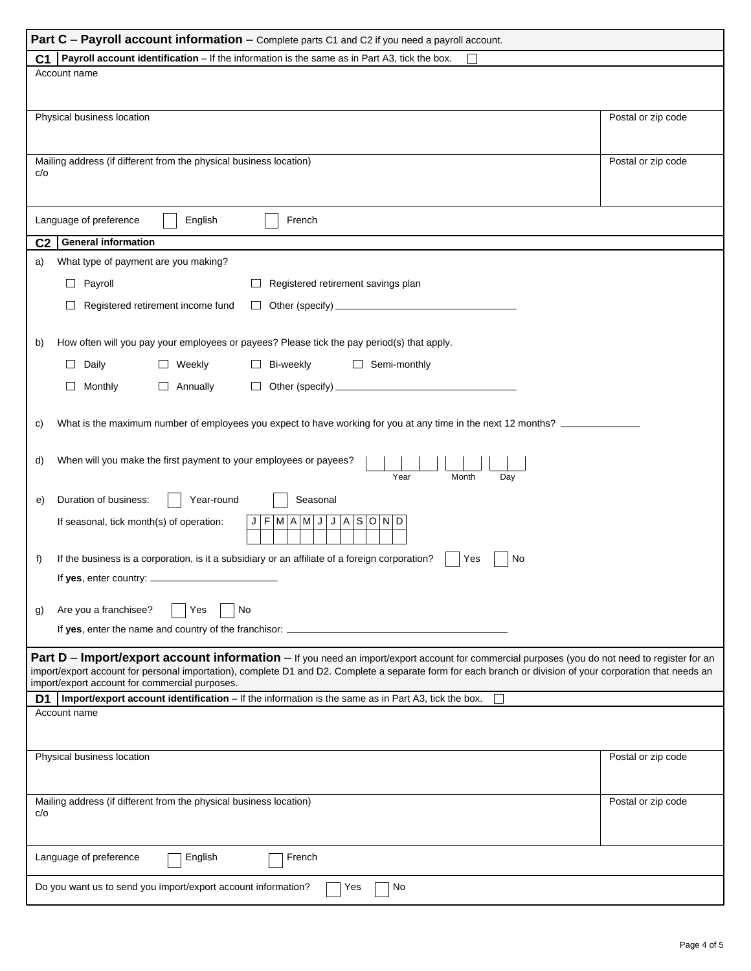| Part C - Payroll account information - Complete parts C1 and C2 if you need a payroll account.                                                                                                                                                                                                               |                    |  |  |  |  |
|--------------------------------------------------------------------------------------------------------------------------------------------------------------------------------------------------------------------------------------------------------------------------------------------------------------|--------------------|--|--|--|--|
| Payroll account identification - If the information is the same as in Part A3, tick the box.<br>C1                                                                                                                                                                                                           |                    |  |  |  |  |
| Account name                                                                                                                                                                                                                                                                                                 |                    |  |  |  |  |
|                                                                                                                                                                                                                                                                                                              |                    |  |  |  |  |
| Physical business location                                                                                                                                                                                                                                                                                   | Postal or zip code |  |  |  |  |
|                                                                                                                                                                                                                                                                                                              |                    |  |  |  |  |
|                                                                                                                                                                                                                                                                                                              |                    |  |  |  |  |
| Mailing address (if different from the physical business location)<br>c/o                                                                                                                                                                                                                                    | Postal or zip code |  |  |  |  |
|                                                                                                                                                                                                                                                                                                              |                    |  |  |  |  |
|                                                                                                                                                                                                                                                                                                              |                    |  |  |  |  |
| Language of preference<br>English<br>French                                                                                                                                                                                                                                                                  |                    |  |  |  |  |
| <b>General information</b><br>C <sub>2</sub>                                                                                                                                                                                                                                                                 |                    |  |  |  |  |
| What type of payment are you making?<br>a)                                                                                                                                                                                                                                                                   |                    |  |  |  |  |
| $\Box$ Payroll<br>$\Box$ Registered retirement savings plan                                                                                                                                                                                                                                                  |                    |  |  |  |  |
|                                                                                                                                                                                                                                                                                                              |                    |  |  |  |  |
| Registered retirement income fund                                                                                                                                                                                                                                                                            |                    |  |  |  |  |
| How often will you pay your employees or payees? Please tick the pay period(s) that apply.                                                                                                                                                                                                                   |                    |  |  |  |  |
| b)                                                                                                                                                                                                                                                                                                           |                    |  |  |  |  |
| $\Box$ Daily<br>$\Box$ Weekly<br>$\Box$ Bi-weekly<br>$\Box$ Semi-monthly                                                                                                                                                                                                                                     |                    |  |  |  |  |
| $\Box$ Monthly<br>$\Box$ Annually<br>$\Box$ Other (specify) $\_\_\_\_\_\_\_\_\_\_\_\_\_\_\_\_\_\_\_\_\_$                                                                                                                                                                                                     |                    |  |  |  |  |
|                                                                                                                                                                                                                                                                                                              |                    |  |  |  |  |
| What is the maximum number of employees you expect to have working for you at any time in the next 12 months?<br>C)                                                                                                                                                                                          |                    |  |  |  |  |
|                                                                                                                                                                                                                                                                                                              |                    |  |  |  |  |
| When will you make the first payment to your employees or payees?<br>d)                                                                                                                                                                                                                                      |                    |  |  |  |  |
| Year<br>Month<br>Day                                                                                                                                                                                                                                                                                         |                    |  |  |  |  |
| Duration of business:<br>Year-round<br>Seasonal<br>e)                                                                                                                                                                                                                                                        |                    |  |  |  |  |
| M A M J<br>If seasonal, tick month(s) of operation:<br>F.<br>J A S O N D<br>J                                                                                                                                                                                                                                |                    |  |  |  |  |
|                                                                                                                                                                                                                                                                                                              |                    |  |  |  |  |
| If the business is a corporation, is it a subsidiary or an affiliate of a foreign corporation?<br>f)<br>No<br>Yes                                                                                                                                                                                            |                    |  |  |  |  |
| If yes, enter country: $\_$                                                                                                                                                                                                                                                                                  |                    |  |  |  |  |
|                                                                                                                                                                                                                                                                                                              |                    |  |  |  |  |
| Are you a franchisee?<br>No<br>Yes<br>g)                                                                                                                                                                                                                                                                     |                    |  |  |  |  |
| If yes, enter the name and country of the franchisor: __                                                                                                                                                                                                                                                     |                    |  |  |  |  |
|                                                                                                                                                                                                                                                                                                              |                    |  |  |  |  |
| Part D - Import/export account information - If you need an import/export account for commercial purposes (you do not need to register for an<br>import/export account for personal importation), complete D1 and D2. Complete a separate form for each branch or division of your corporation that needs an |                    |  |  |  |  |
| import/export account for commercial purposes.                                                                                                                                                                                                                                                               |                    |  |  |  |  |
| Import/export account identification - If the information is the same as in Part A3, tick the box.<br>D <sub>1</sub><br>Account name                                                                                                                                                                         |                    |  |  |  |  |
|                                                                                                                                                                                                                                                                                                              |                    |  |  |  |  |
|                                                                                                                                                                                                                                                                                                              |                    |  |  |  |  |
| Physical business location                                                                                                                                                                                                                                                                                   | Postal or zip code |  |  |  |  |
|                                                                                                                                                                                                                                                                                                              |                    |  |  |  |  |
| Mailing address (if different from the physical business location)<br>Postal or zip code                                                                                                                                                                                                                     |                    |  |  |  |  |
| c/o                                                                                                                                                                                                                                                                                                          |                    |  |  |  |  |
|                                                                                                                                                                                                                                                                                                              |                    |  |  |  |  |
| Language of preference<br>English<br>French                                                                                                                                                                                                                                                                  |                    |  |  |  |  |
|                                                                                                                                                                                                                                                                                                              |                    |  |  |  |  |
| Do you want us to send you import/export account information?<br>Yes<br>No                                                                                                                                                                                                                                   |                    |  |  |  |  |